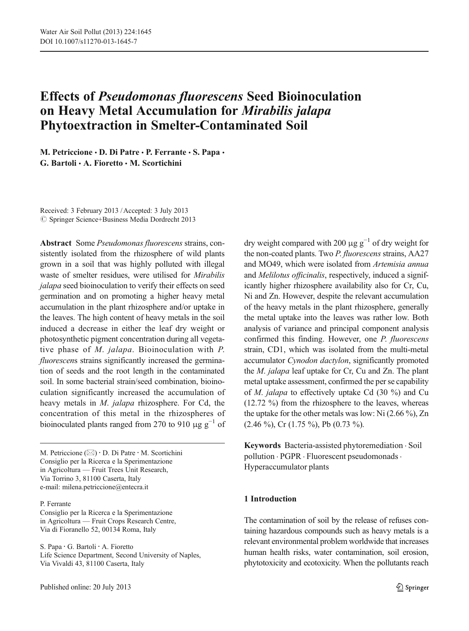# Effects of Pseudomonas fluorescens Seed Bioinoculation on Heavy Metal Accumulation for Mirabilis jalapa Phytoextraction in Smelter-Contaminated Soil

M. Petriccione · D. Di Patre · P. Ferrante · S. Papa · G. Bartoli  $\cdot$  A. Fioretto  $\cdot$  M. Scortichini

Received: 3 February 2013 /Accepted: 3 July 2013  $\odot$  Springer Science+Business Media Dordrecht 2013

Abstract Some Pseudomonas fluorescens strains, consistently isolated from the rhizosphere of wild plants grown in a soil that was highly polluted with illegal waste of smelter residues, were utilised for Mirabilis jalapa seed bioinoculation to verify their effects on seed germination and on promoting a higher heavy metal accumulation in the plant rhizosphere and/or uptake in the leaves. The high content of heavy metals in the soil induced a decrease in either the leaf dry weight or photosynthetic pigment concentration during all vegetative phase of M. jalapa. Bioinoculation with P. fluorescens strains significantly increased the germination of seeds and the root length in the contaminated soil. In some bacterial strain/seed combination, bioinoculation significantly increased the accumulation of heavy metals in M. jalapa rhizosphere. For Cd, the concentration of this metal in the rhizospheres of bioinoculated plants ranged from 270 to 910  $\mu$ g g<sup>-1</sup> of

M. Petriccione  $(\boxtimes) \cdot$  D. Di Patre  $\cdot$  M. Scortichini Consiglio per la Ricerca e la Sperimentazione in Agricoltura — Fruit Trees Unit Research, Via Torrino 3, 81100 Caserta, Italy e-mail: milena.petriccione@entecra.it

#### P. Ferrante

Consiglio per la Ricerca e la Sperimentazione in Agricoltura — Fruit Crops Research Centre, Via di Fioranello 52, 00134 Roma, Italy

S. Papa : G. Bartoli : A. Fioretto Life Science Department, Second University of Naples, Via Vivaldi 43, 81100 Caserta, Italy

dry weight compared with 200  $\mu$ g g<sup>-1</sup> of dry weight for the non-coated plants. Two P. fluorescens strains, AA27 and MO49, which were isolated from Artemisia annua and Melilotus officinalis, respectively, induced a significantly higher rhizosphere availability also for Cr, Cu, Ni and Zn. However, despite the relevant accumulation of the heavy metals in the plant rhizosphere, generally the metal uptake into the leaves was rather low. Both analysis of variance and principal component analysis confirmed this finding. However, one P. fluorescens strain, CD1, which was isolated from the multi-metal accumulator Cynodon dactylon, significantly promoted the M. jalapa leaf uptake for Cr, Cu and Zn. The plant metal uptake assessment, confirmed the per se capability of M. jalapa to effectively uptake Cd (30 %) and Cu (12.72 %) from the rhizosphere to the leaves, whereas the uptake for the other metals was low: Ni (2.66 %), Zn  $(2.46 \%)$ , Cr  $(1.75 \%)$ , Pb  $(0.73 \%)$ .

Keywords Bacteria-assisted phytoremediation . Soil pollution . PGPR . Fluorescent pseudomonads . Hyperaccumulator plants

## 1 Introduction

The contamination of soil by the release of refuses containing hazardous compounds such as heavy metals is a relevant environmental problem worldwide that increases human health risks, water contamination, soil erosion, phytotoxicity and ecotoxicity. When the pollutants reach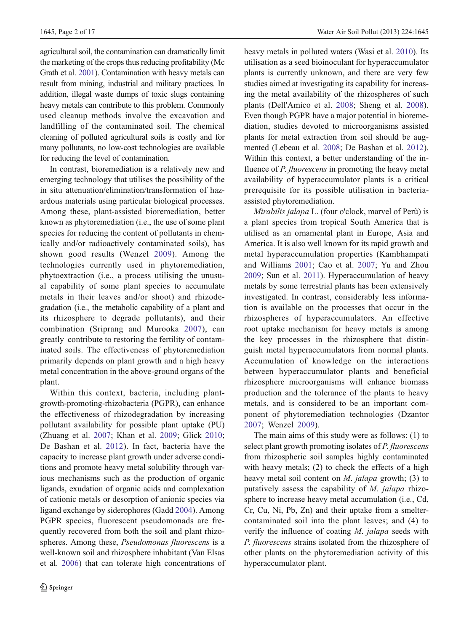agricultural soil, the contamination can dramatically limit the marketing of the crops thus reducing profitability (Mc Grath et al. [2001\)](#page-15-0). Contamination with heavy metals can result from mining, industrial and military practices. In addition, illegal waste dumps of toxic slugs containing heavy metals can contribute to this problem. Commonly used cleanup methods involve the excavation and landfilling of the contaminated soil. The chemical cleaning of polluted agricultural soils is costly and for many pollutants, no low-cost technologies are available for reducing the level of contamination.

In contrast, bioremediation is a relatively new and emerging technology that utilises the possibility of the in situ attenuation/elimination/transformation of hazardous materials using particular biological processes. Among these, plant-assisted bioremediation, better known as phytoremediation (i.e., the use of some plant species for reducing the content of pollutants in chemically and/or radioactively contaminated soils), has shown good results (Wenzel [2009\)](#page-16-0). Among the technologies currently used in phytoremediation, phytoextraction (i.e., a process utilising the unusual capability of some plant species to accumulate metals in their leaves and/or shoot) and rhizodegradation (i.e., the metabolic capability of a plant and its rhizosphere to degrade pollutants), and their combination (Sriprang and Murooka [2007\)](#page-15-0), can greatly contribute to restoring the fertility of contaminated soils. The effectiveness of phytoremediation primarily depends on plant growth and a high heavy metal concentration in the above-ground organs of the plant.

Within this context, bacteria, including plantgrowth-promoting-rhizobacteria (PGPR), can enhance the effectiveness of rhizodegradation by increasing pollutant availability for possible plant uptake (PU) (Zhuang et al. [2007](#page-16-0); Khan et al. [2009;](#page-15-0) Glick [2010](#page-15-0); De Bashan et al. [2012](#page-14-0)). In fact, bacteria have the capacity to increase plant growth under adverse conditions and promote heavy metal solubility through various mechanisms such as the production of organic ligands, exudation of organic acids and complexation of cationic metals or desorption of anionic species via ligand exchange by siderophores (Gadd [2004\)](#page-15-0). Among PGPR species, fluorescent pseudomonads are frequently recovered from both the soil and plant rhizospheres. Among these, Pseudomonas fluorescens is a well-known soil and rhizosphere inhabitant (Van Elsas et al. [2006\)](#page-16-0) that can tolerate high concentrations of heavy metals in polluted waters (Wasi et al. [2010](#page-16-0)). Its utilisation as a seed bioinoculant for hyperaccumulator plants is currently unknown, and there are very few studies aimed at investigating its capability for increasing the metal availability of the rhizospheres of such plants (Dell'Amico et al. [2008](#page-14-0); Sheng et al. [2008\)](#page-15-0). Even though PGPR have a major potential in bioremediation, studies devoted to microorganisms assisted plants for metal extraction from soil should be augmented (Lebeau et al. [2008;](#page-15-0) De Bashan et al. [2012\)](#page-14-0). Within this context, a better understanding of the influence of *P. fluorescens* in promoting the heavy metal availability of hyperaccumulator plants is a critical prerequisite for its possible utilisation in bacteriaassisted phytoremediation.

Mirabilis jalapa L. (four o'clock, marvel of Perù) is a plant species from tropical South America that is utilised as an ornamental plant in Europe, Asia and America. It is also well known for its rapid growth and metal hyperaccumulation properties (Kambhampati and Williams [2001;](#page-15-0) Cao et al. [2007;](#page-14-0) Yu and Zhou [2009;](#page-16-0) Sun et al. [2011\)](#page-16-0). Hyperaccumulation of heavy metals by some terrestrial plants has been extensively investigated. In contrast, considerably less information is available on the processes that occur in the rhizospheres of hyperaccumulators. An effective root uptake mechanism for heavy metals is among the key processes in the rhizosphere that distinguish metal hyperaccumulators from normal plants. Accumulation of knowledge on the interactions between hyperaccumulator plants and beneficial rhizosphere microorganisms will enhance biomass production and the tolerance of the plants to heavy metals, and is considered to be an important component of phytoremediation technologies (Dzantor [2007](#page-15-0); Wenzel [2009](#page-16-0)).

The main aims of this study were as follows: (1) to select plant growth promoting isolates of P. fluorescens from rhizospheric soil samples highly contaminated with heavy metals; (2) to check the effects of a high heavy metal soil content on  $M$ . jalapa growth; (3) to putatively assess the capability of M. jalapa rhizosphere to increase heavy metal accumulation (i.e., Cd, Cr, Cu, Ni, Pb, Zn) and their uptake from a smeltercontaminated soil into the plant leaves; and (4) to verify the influence of coating M. jalapa seeds with P. fluorescens strains isolated from the rhizosphere of other plants on the phytoremediation activity of this hyperaccumulator plant.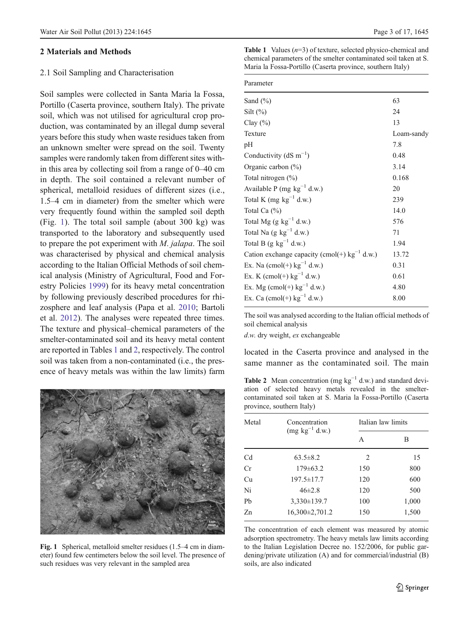## <span id="page-2-0"></span>2 Materials and Methods

## 2.1 Soil Sampling and Characterisation

Soil samples were collected in Santa Maria la Fossa, Portillo (Caserta province, southern Italy). The private soil, which was not utilised for agricultural crop production, was contaminated by an illegal dump several years before this study when waste residues taken from an unknown smelter were spread on the soil. Twenty samples were randomly taken from different sites within this area by collecting soil from a range of 0–40 cm in depth. The soil contained a relevant number of spherical, metalloid residues of different sizes (i.e., 1.5–4 cm in diameter) from the smelter which were very frequently found within the sampled soil depth (Fig. 1). The total soil sample (about 300 kg) was transported to the laboratory and subsequently used to prepare the pot experiment with M. jalapa. The soil was characterised by physical and chemical analysis according to the Italian Official Methods of soil chemical analysis (Ministry of Agricultural, Food and Forestry Policies [1999](#page-15-0)) for its heavy metal concentration by following previously described procedures for rhizosphere and leaf analysis (Papa et al. [2010](#page-15-0); Bartoli et al. [2012](#page-14-0)). The analyses were repeated three times. The texture and physical–chemical parameters of the smelter-contaminated soil and its heavy metal content are reported in Tables 1 and 2, respectively. The control soil was taken from a non-contaminated (i.e., the presence of heavy metals was within the law limits) farm



Fig. 1 Spherical, metalloid smelter residues (1.5–4 cm in diameter) found few centimeters below the soil level. The presence of such residues was very relevant in the sampled area

**Table 1** Values  $(n=3)$  of texture, selected physico-chemical and chemical parameters of the smelter contaminated soil taken at S. Maria la Fossa-Portillo (Caserta province, southern Italy)

| Parameter                                         |            |
|---------------------------------------------------|------------|
| Sand $(\% )$                                      | 63         |
| Silt $(\%)$                                       | 24         |
| Clay $(\%)$                                       | 13         |
| Texture                                           | Loam-sandy |
| pН                                                | 7.8        |
| Conductivity ( $dS \text{ m}^{-1}$ )              | 0.48       |
| Organic carbon $(\% )$                            | 3.14       |
| Total nitrogen $(\%)$                             | 0.168      |
| Available P (mg $kg^{-1}$ d.w.)                   | 20         |
| Total K (mg $kg^{-1}$ d.w.)                       | 239        |
| Total Ca $(\%)$                                   | 14.0       |
| Total Mg (g $kg^{-1}$ d.w.)                       | 576        |
| Total Na $(g \text{ kg}^{-1} d.w.)$               | 71         |
| Total B (g $kg^{-1}$ d.w.)                        | 1.94       |
| Cation exchange capacity (cmol(+) $kg^{-1}$ d.w.) | 13.72      |
| Ex. Na (cmol(+) $kg^{-1}$ d.w.)                   | 0.31       |
| Ex. K (cmol(+) $kg^{-1}$ d.w.)                    | 0.61       |
| Ex. Mg (cmol(+) $kg^{-1}$ d.w.)                   | 4.80       |
| Ex. Ca (cmol(+) $kg^{-1}$ d.w.)                   | 8.00       |
|                                                   |            |

The soil was analysed according to the Italian official methods of soil chemical analysis

d.w. dry weight, ex exchangeable

located in the Caserta province and analysed in the same manner as the contaminated soil. The main

Table 2 Mean concentration (mg  $kg^{-1}$  d.w.) and standard deviation of selected heavy metals revealed in the smeltercontaminated soil taken at S. Maria la Fossa-Portillo (Caserta province, southern Italy)

| Metal          | Concentration       | Italian law limits |       |  |  |
|----------------|---------------------|--------------------|-------|--|--|
|                | $(mg kg^{-1} d.w.)$ | А                  | в     |  |  |
| C <sub>d</sub> | $63.5 \pm 8.2$      | 2                  | 15    |  |  |
| Cr             | $179 \pm 63.2$      | 150                | 800   |  |  |
| Cu             | $197.5 \pm 17.7$    | 120                | 600   |  |  |
| Ni             | $46\pm2.8$          | 120                | 500   |  |  |
| P <sub>b</sub> | $3,330 \pm 139.7$   | 100                | 1,000 |  |  |
| Zn             | 16,300±2,701.2      | 150                | 1,500 |  |  |
|                |                     |                    |       |  |  |

The concentration of each element was measured by atomic adsorption spectrometry. The heavy metals law limits according to the Italian Legislation Decree no. 152/2006, for public gardening/private utilization (A) and for commercial/industrial (B) soils, are also indicated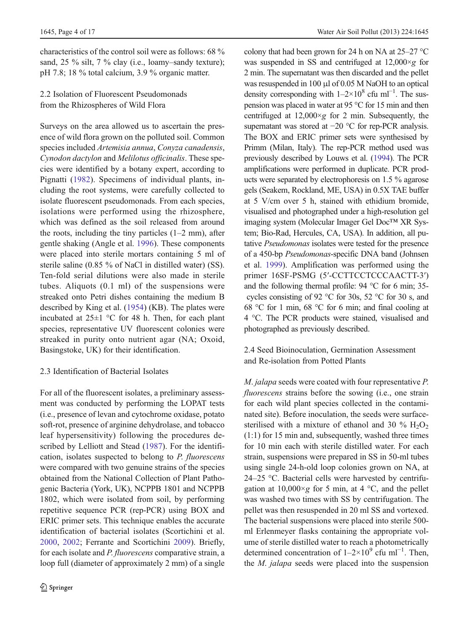characteristics of the control soil were as follows: 68 % sand, 25 % silt, 7 % clay (i.e., loamy–sandy texture); pH 7.8; 18 % total calcium, 3.9 % organic matter.

# 2.2 Isolation of Fluorescent Pseudomonads from the Rhizospheres of Wild Flora

Surveys on the area allowed us to ascertain the presence of wild flora grown on the polluted soil. Common species included Artemisia annua, Conyza canadensis, Cynodon dactylon and Melilotus officinalis. These species were identified by a botany expert, according to Pignatti [\(1982\)](#page-15-0). Specimens of individual plants, including the root systems, were carefully collected to isolate fluorescent pseudomonads. From each species, isolations were performed using the rhizosphere, which was defined as the soil released from around the roots, including the tiny particles  $(1-2 \text{ mm})$ , after gentle shaking (Angle et al. [1996](#page-14-0)). These components were placed into sterile mortars containing 5 ml of sterile saline (0.85 % of NaCl in distilled water) (SS). Ten-fold serial dilutions were also made in sterile tubes. Aliquots (0.1 ml) of the suspensions were streaked onto Petri dishes containing the medium B described by King et al. ([1954\)](#page-15-0) (KB). The plates were incubated at 25±1 °C for 48 h. Then, for each plant species, representative UV fluorescent colonies were streaked in purity onto nutrient agar (NA; Oxoid, Basingstoke, UK) for their identification.

# 2.3 Identification of Bacterial Isolates

For all of the fluorescent isolates, a preliminary assessment was conducted by performing the LOPAT tests (i.e., presence of levan and cytochrome oxidase, potato soft-rot, presence of arginine dehydrolase, and tobacco leaf hypersensitivity) following the procedures described by Lelliott and Stead ([1987\)](#page-15-0). For the identification, isolates suspected to belong to P. fluorescens were compared with two genuine strains of the species obtained from the National Collection of Plant Pathogenic Bacteria (York, UK), NCPPB 1801 and NCPPB 1802, which were isolated from soil, by performing repetitive sequence PCR (rep-PCR) using BOX and ERIC primer sets. This technique enables the accurate identification of bacterial isolates (Scortichini et al. [2000,](#page-15-0) [2002](#page-15-0); Ferrante and Scortichini [2009\)](#page-15-0). Briefly, for each isolate and P. fluorescens comparative strain, a loop full (diameter of approximately 2 mm) of a single colony that had been grown for 24 h on NA at 25–27 °C was suspended in SS and centrifuged at  $12,000 \times g$  for 2 min. The supernatant was then discarded and the pellet was resuspended in 100 μl of 0.05 M NaOH to an optical density corresponding with  $1-2\times10^8$  cfu ml<sup>-1</sup>. The suspension was placed in water at 95 °C for 15 min and then centrifuged at  $12,000 \times g$  for 2 min. Subsequently, the supernatant was stored at −20 °C for rep-PCR analysis. The BOX and ERIC primer sets were synthesised by Primm (Milan, Italy). The rep-PCR method used was previously described by Louws et al. ([1994\)](#page-15-0). The PCR amplifications were performed in duplicate. PCR products were separated by electrophoresis on 1.5 % agarose gels (Seakem, Rockland, ME, USA) in 0.5X TAE buffer at 5 V/cm over 5 h, stained with ethidium bromide, visualised and photographed under a high-resolution gel imaging system (Molecular Imager Gel Doc™ XR System; Bio-Rad, Hercules, CA, USA). In addition, all putative Pseudomonas isolates were tested for the presence of a 450-bp Pseudomonas-specific DNA band (Johnsen et al. [1999\)](#page-15-0). Amplification was performed using the primer 16SF-PSMG (5′-CCTTCCTCCCAACTT-3′) and the following thermal profile: 94 °C for 6 min; 35 cycles consisting of 92 °C for 30s, 52 °C for 30 s, and 68 °C for 1 min, 68 °C for 6 min; and final cooling at 4 °C. The PCR products were stained, visualised and photographed as previously described.

# 2.4 Seed Bioinoculation, Germination Assessment and Re-isolation from Potted Plants

M. jalapa seeds were coated with four representative P. fluorescens strains before the sowing (i.e., one strain for each wild plant species collected in the contaminated site). Before inoculation, the seeds were surfacesterilised with a mixture of ethanol and 30  $\%$  H<sub>2</sub>O<sub>2</sub> (1:1) for 15 min and, subsequently, washed three times for 10 min each with sterile distilled water. For each strain, suspensions were prepared in SS in 50-ml tubes using single 24-h-old loop colonies grown on NA, at 24–25 °C. Bacterial cells were harvested by centrifugation at  $10,000 \times g$  for 5 min, at 4 °C, and the pellet was washed two times with SS by centrifugation. The pellet was then resuspended in 20 ml SS and vortexed. The bacterial suspensions were placed into sterile 500 ml Erlenmeyer flasks containing the appropriate volume of sterile distilled water to reach a photometrically determined concentration of  $1-2\times10^{9}$  cfu ml<sup>-1</sup>. Then, the M. jalapa seeds were placed into the suspension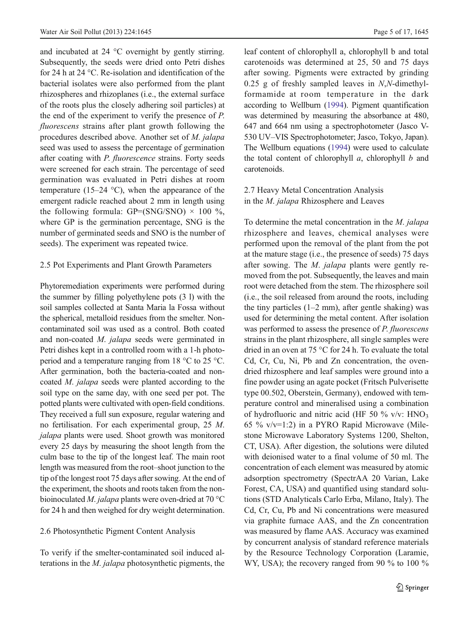and incubated at 24 °C overnight by gently stirring. Subsequently, the seeds were dried onto Petri dishes for 24 h at 24 °C. Re-isolation and identification of the bacterial isolates were also performed from the plant rhizospheres and rhizoplanes (i.e., the external surface of the roots plus the closely adhering soil particles) at the end of the experiment to verify the presence of P. fluorescens strains after plant growth following the procedures described above. Another set of M. jalapa seed was used to assess the percentage of germination after coating with P. fluorescence strains. Forty seeds were screened for each strain. The percentage of seed germination was evaluated in Petri dishes at room temperature (15–24  $^{\circ}$ C), when the appearance of the emergent radicle reached about 2 mm in length using the following formula:  $GP=(SNG/SNO) \times 100\%$ , where GP is the germination percentage, SNG is the number of germinated seeds and SNO is the number of seeds). The experiment was repeated twice.

## 2.5 Pot Experiments and Plant Growth Parameters

Phytoremediation experiments were performed during the summer by filling polyethylene pots (3 l) with the soil samples collected at Santa Maria la Fossa without the spherical, metalloid residues from the smelter. Noncontaminated soil was used as a control. Both coated and non-coated M. jalapa seeds were germinated in Petri dishes kept in a controlled room with a 1-h photoperiod and a temperature ranging from 18 °C to 25 °C. After germination, both the bacteria-coated and noncoated M. jalapa seeds were planted according to the soil type on the same day, with one seed per pot. The potted plants were cultivated with open-field conditions. They received a full sun exposure, regular watering and no fertilisation. For each experimental group, 25 M. jalapa plants were used. Shoot growth was monitored every 25 days by measuring the shoot length from the culm base to the tip of the longest leaf. The main root length was measured from the root–shoot junction to the tip of the longest root 75 days after sowing. At the end of the experiment, the shoots and roots taken from the nonbioinoculated *M. jalapa* plants were oven-dried at 70  $^{\circ}$ C for 24 h and then weighed for dry weight determination.

#### 2.6 Photosynthetic Pigment Content Analysis

To verify if the smelter-contaminated soil induced alterations in the M. jalapa photosynthetic pigments, the leaf content of chlorophyll a, chlorophyll b and total carotenoids was determined at 25, 50 and 75 days after sowing. Pigments were extracted by grinding  $0.25$  g of freshly sampled leaves in N,N-dimethylformamide at room temperature in the dark according to Wellburn [\(1994\)](#page-16-0). Pigment quantification was determined by measuring the absorbance at 480, 647 and 664 nm using a spectrophotometer (Jasco V-530 UV–VIS Spectrophotometer; Jasco, Tokyo, Japan). The Wellburn equations [\(1994\)](#page-16-0) were used to calculate the total content of chlorophyll  $a$ , chlorophyll  $b$  and carotenoids.

## 2.7 Heavy Metal Concentration Analysis in the M. jalapa Rhizosphere and Leaves

To determine the metal concentration in the M. jalapa rhizosphere and leaves, chemical analyses were performed upon the removal of the plant from the pot at the mature stage (i.e., the presence of seeds) 75 days after sowing. The *M. jalapa* plants were gently removed from the pot. Subsequently, the leaves and main root were detached from the stem. The rhizosphere soil (i.e., the soil released from around the roots, including the tiny particles (1–2 mm), after gentle shaking) was used for determining the metal content. After isolation was performed to assess the presence of *P. fluorescens* strains in the plant rhizosphere, all single samples were dried in an oven at 75 °C for 24 h. To evaluate the total Cd, Cr, Cu, Ni, Pb and Zn concentration, the ovendried rhizosphere and leaf samples were ground into a fine powder using an agate pocket (Fritsch Pulverisette type 00.502, Oberstein, Germany), endowed with temperature control and mineralised using a combination of hydrofluoric and nitric acid (HF 50 % v/v: HNO<sub>3</sub> 65 % v/v=1:2) in a PYRO Rapid Microwave (Milestone Microwave Laboratory Systems 1200, Shelton, CT, USA). After digestion, the solutions were diluted with deionised water to a final volume of 50 ml. The concentration of each element was measured by atomic adsorption spectrometry (SpectrAA 20 Varian, Lake Forest, CA, USA) and quantified using standard solutions (STD Analyticals Carlo Erba, Milano, Italy). The Cd, Cr, Cu, Pb and Ni concentrations were measured via graphite furnace AAS, and the Zn concentration was measured by flame AAS. Accuracy was examined by concurrent analysis of standard reference materials by the Resource Technology Corporation (Laramie, WY, USA); the recovery ranged from 90 % to 100 %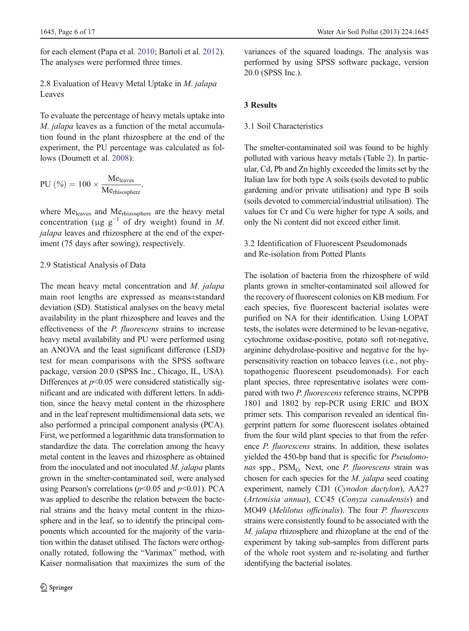for each element (Papa et al. [2010;](#page-15-0) Bartoli et al. [2012](#page-14-0)). The analyses were performed three times.

2.8 Evaluation of Heavy Metal Uptake in M. jalapa Leaves

To evaluate the percentage of heavy metals uptake into M. jalapa leaves as a function of the metal accumulation found in the plant rhizosphere at the end of the experiment, the PU percentage was calculated as follows (Doumett et al. [2008\)](#page-15-0):

$$
PU(%) = 100 \times \frac{Me_{leaves}}{Me_{thisosphere}},
$$

where Meleaves and Merhizosphere are the heavy metal concentration (μg  $g^{-1}$  of dry weight) found in M. jalapa leaves and rhizosphere at the end of the experiment (75 days after sowing), respectively.

## 2.9 Statistical Analysis of Data

The mean heavy metal concentration and M. jalapa main root lengths are expressed as means±standard deviation (SD). Statistical analyses on the heavy metal availability in the plant rhizosphere and leaves and the effectiveness of the P. fluorescens strains to increase heavy metal availability and PU were performed using an ANOVA and the least significant difference (LSD) test for mean comparisons with the SPSS software package, version 20.0 (SPSS Inc., Chicago, IL, USA). Differences at  $p<0.05$  were considered statistically significant and are indicated with different letters. In addition, since the heavy metal content in the rhizosphere and in the leaf represent multidimensional data sets, we also performed a principal component analysis (PCA). First, we performed a logarithmic data transformation to standardize the data. The correlation among the heavy metal content in the leaves and rhizosphere as obtained from the inoculated and not inoculated M. jalapa plants grown in the smelter-contaminated soil, were analysed using Pearson's correlations ( $p$ <0.05 and  $p$ <0.01). PCA was applied to describe the relation between the bacterial strains and the heavy metal content in the rhizosphere and in the leaf, so to identify the principal components which accounted for the majority of the variation within the dataset utilised. The factors were orthogonally rotated, following the "Varimax" method, with Kaiser normalisation that maximizes the sum of the variances of the squared loadings. The analysis was performed by using SPSS software package, version 20.0 (SPSS Inc.).

## 3 Results

## 3.1 Soil Characteristics

The smelter-contaminated soil was found to be highly polluted with various heavy metals (Table [2](#page-2-0)). In particular, Cd, Pb and Zn highly exceeded the limits set by the Italian law for both type A soils (soils devoted to public gardening and/or private utilisation) and type B soils (soils devoted to commercial/industrial utilisation). The values for Cr and Cu were higher for type A soils, and only the Ni content did not exceed either limit.

3.2 Identification of Fluorescent Pseudomonads and Re-isolation from Potted Plants

The isolation of bacteria from the rhizosphere of wild plants grown in smelter-contaminated soil allowed for the recovery of fluorescent colonies on KB medium. For each species, five fluorescent bacterial isolates were purified on NA for their identification. Using LOPAT tests, the isolates were determined to be levan-negative, cytochrome oxidase-positive, potato soft rot-negative, arginine dehydrolase-positive and negative for the hypersensitivity reaction on tobacco leaves (i.e., not phytopathogenic fluorescent pseudomonads). For each plant species, three representative isolates were compared with two P. fluorescens reference strains, NCPPB 1801 and 1802 by rep-PCR using ERIC and BOX primer sets. This comparison revealed an identical fingerprint pattern for some fluorescent isolates obtained from the four wild plant species to that from the reference P. fluorescens strains. In addition, these isolates yielded the 450-bp band that is specific for Pseudomonas spp., PSM<sub>G.</sub> Next, one P. fluorescens strain was chosen for each species for the M. jalapa seed coating experiment, namely CD1 (Cynodon dactylon), AA27 (Artemisia annua), CC45 (Conyza canadensis) and MO49 (Melilotus officinalis). The four P. fluorescens strains were consistently found to be associated with the M. jalapa rhizosphere and rhizoplane at the end of the experiment by taking sub-samples from different parts of the whole root system and re-isolating and further identifying the bacterial isolates.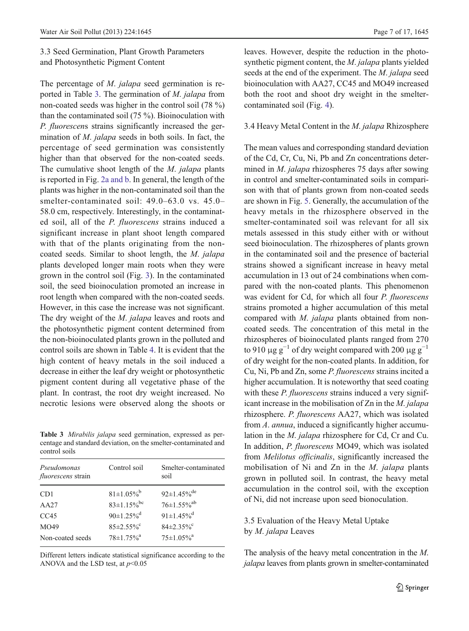3.3 Seed Germination, Plant Growth Parameters and Photosynthetic Pigment Content

The percentage of M. jalapa seed germination is reported in Table 3. The germination of M. jalapa from non-coated seeds was higher in the control soil (78 %) than the contaminated soil (75 %). Bioinoculation with P. fluorescens strains significantly increased the germination of M. jalapa seeds in both soils. In fact, the percentage of seed germination was consistently higher than that observed for the non-coated seeds. The cumulative shoot length of the *M. jalapa* plants is reported in Fig. [2a and b.](#page-7-0) In general, the length of the plants was higher in the non-contaminated soil than the smelter-contaminated soil: 49.0–63.0 vs. 45.0– 58.0 cm, respectively. Interestingly, in the contaminated soil, all of the P. fluorescens strains induced a significant increase in plant shoot length compared with that of the plants originating from the noncoated seeds. Similar to shoot length, the M. jalapa plants developed longer main roots when they were grown in the control soil (Fig. [3\)](#page-7-0). In the contaminated soil, the seed bioinoculation promoted an increase in root length when compared with the non-coated seeds. However, in this case the increase was not significant. The dry weight of the *M. jalapa* leaves and roots and the photosynthetic pigment content determined from the non-bioinoculated plants grown in the polluted and control soils are shown in Table [4](#page-8-0). It is evident that the high content of heavy metals in the soil induced a decrease in either the leaf dry weight or photosynthetic pigment content during all vegetative phase of the plant. In contrast, the root dry weight increased. No necrotic lesions were observed along the shoots or

Table 3 Mirabilis jalapa seed germination, expressed as percentage and standard deviation, on the smelter-contaminated and control soils

| Pseudomonas<br><i>fluorescens</i> strain | Control soil                  | Smelter-contaminated<br>soil  |
|------------------------------------------|-------------------------------|-------------------------------|
| CD <sub>1</sub>                          | $81 \pm 1.05\%$ <sup>b</sup>  | $92 \pm 1.45\%$ <sup>de</sup> |
| AA27                                     | $83 \pm 1.15\%$ <sup>bc</sup> | $76 \pm 1.55\%$ <sup>ab</sup> |
| CC45                                     | $90 \pm 1.25 \%$ <sup>d</sup> | $91 \pm 1.45\%$ <sup>d</sup>  |
| MO49                                     | $85\pm2.55\%$ <sup>c</sup>    | $84\pm2.35\%$ °               |
| Non-coated seeds                         | $78 \pm 1.75\%$ <sup>a</sup>  | $75 \pm 1.05\%$ <sup>a</sup>  |
|                                          |                               |                               |

Different letters indicate statistical significance according to the ANOVA and the LSD test, at  $p<0.05$ 

leaves. However, despite the reduction in the photosynthetic pigment content, the M. jalapa plants yielded seeds at the end of the experiment. The M. jalapa seed bioinoculation with AA27, CC45 and MO49 increased both the root and shoot dry weight in the smeltercontaminated soil (Fig. [4](#page-9-0)).

## 3.4 Heavy Metal Content in the M. jalapa Rhizosphere

The mean values and corresponding standard deviation of the Cd, Cr, Cu, Ni, Pb and Zn concentrations determined in M. jalapa rhizospheres 75 days after sowing in control and smelter-contaminated soils in comparison with that of plants grown from non-coated seeds are shown in Fig. [5](#page-10-0). Generally, the accumulation of the heavy metals in the rhizosphere observed in the smelter-contaminated soil was relevant for all six metals assessed in this study either with or without seed bioinoculation. The rhizospheres of plants grown in the contaminated soil and the presence of bacterial strains showed a significant increase in heavy metal accumulation in 13 out of 24 combinations when compared with the non-coated plants. This phenomenon was evident for Cd, for which all four P. fluorescens strains promoted a higher accumulation of this metal compared with M. jalapa plants obtained from noncoated seeds. The concentration of this metal in the rhizospheres of bioinoculated plants ranged from 270 to 910 μg g<sup>-1</sup> of dry weight compared with 200 μg g<sup>-1</sup> of dry weight for the non-coated plants. In addition, for Cu, Ni, Pb and Zn, some P. fluorescens strains incited a higher accumulation. It is noteworthy that seed coating with these *P. fluorescens* strains induced a very significant increase in the mobilisation of Zn in the M. jalapa rhizosphere. P. fluorescens AA27, which was isolated from A. annua, induced a significantly higher accumulation in the M. jalapa rhizosphere for Cd, Cr and Cu. In addition, P. fluorescens MO49, which was isolated from Melilotus officinalis, significantly increased the mobilisation of Ni and Zn in the M. jalapa plants grown in polluted soil. In contrast, the heavy metal accumulation in the control soil, with the exception of Ni, did not increase upon seed bionoculation.

# 3.5 Evaluation of the Heavy Metal Uptake by M. jalapa Leaves

The analysis of the heavy metal concentration in the M. jalapa leaves from plants grown in smelter-contaminated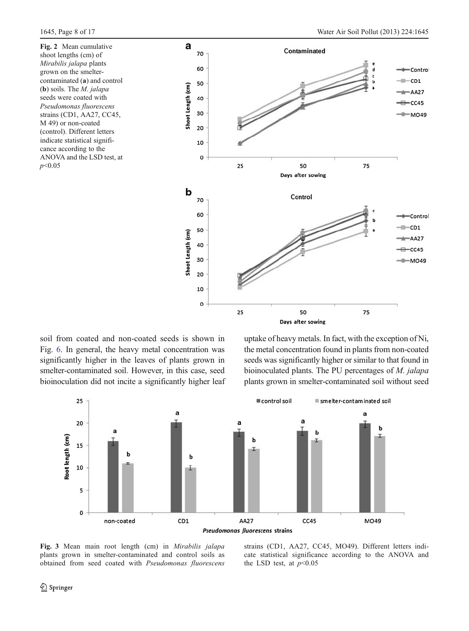<span id="page-7-0"></span>Fig. 2 Mean cumulative shoot lengths (cm) of Mirabilis jalapa plants grown on the smeltercontaminated (a) and control (b) soils. The M. jalapa seeds were coated with Pseudomonas fluorescens strains (CD1, AA27, CC45, M 49) or non-coated (control). Different letters indicate statistical significance according to the ANOVA and the LSD test, at  $p<0.05$ 



soil from coated and non-coated seeds is shown in Fig. [6.](#page-11-0) In general, the heavy metal concentration was significantly higher in the leaves of plants grown in smelter-contaminated soil. However, in this case, seed bioinoculation did not incite a significantly higher leaf uptake of heavy metals. In fact, with the exception of Ni, the metal concentration found in plants from non-coated seeds was significantly higher or similar to that found in bioinoculated plants. The PU percentages of M. jalapa plants grown in smelter-contaminated soil without seed



Fig. 3 Mean main root length (cm) in Mirabilis jalapa plants grown in smelter-contaminated and control soils as obtained from seed coated with Pseudomonas fluorescens

strains (CD1, AA27, CC45, MO49). Different letters indicate statistical significance according to the ANOVA and the LSD test, at  $p<0.05$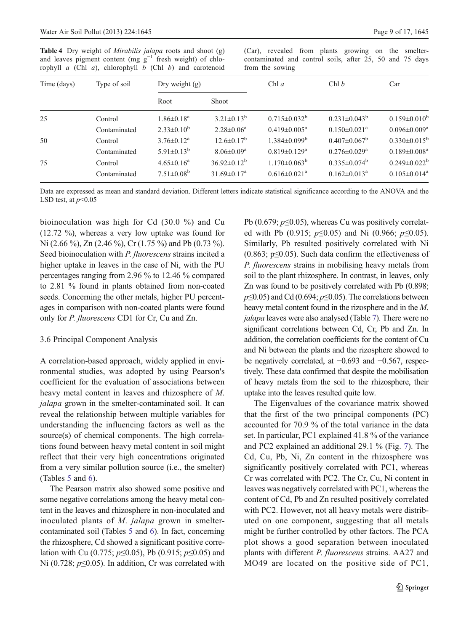<span id="page-8-0"></span>Table 4 Dry weight of Mirabilis jalapa roots and shoot (g) and leaves pigment content (mg  $g^{-1}$  fresh weight) of chlorophyll  $a$  (Chl  $a$ ), chlorophyll  $b$  (Chl  $b$ ) and carotenoid (Car), revealed from plants growing on the smeltercontaminated and control soils, after 25, 50 and 75 days from the sowing

| Time (days)<br>Type of soil |              | Dry weight $(g)$  |                               | Chl $a$                        | Chl b                          | Car                            |
|-----------------------------|--------------|-------------------|-------------------------------|--------------------------------|--------------------------------|--------------------------------|
|                             |              | Root              | Shoot                         |                                |                                |                                |
| 25                          | Control      | $1.86 \pm 0.18^a$ | $3.21 \pm 0.13^b$             | $0.715 \pm 0.032^b$            | $0.231 \pm 0.043^b$            | $0.159 \pm 0.010^b$            |
|                             | Contaminated | $2.33 \pm 0.10^b$ | $2.28 \pm 0.06^a$             | $0.419 \pm 0.005^{\text{a}}$   | $0.150 \pm 0.021$ <sup>a</sup> | $0.096 \pm 0.009^a$            |
| 50                          | Control      | $3.76 \pm 0.12^a$ | $12.6 \pm 0.17^b$             | $1.384 \pm 0.099^b$            | $0.407 \pm 0.067^{\rm b}$      | $0.330\pm0.015^{\rm b}$        |
|                             | Contaminated | $5.91 \pm 0.13^b$ | $8.06 \pm 0.09$ <sup>a</sup>  | $0.819 \pm 0.129$ <sup>a</sup> | $0.276 \pm 0.029$ <sup>a</sup> | $0.189 \pm 0.008$ <sup>a</sup> |
| 75                          | Control      | $4.65 \pm 0.16^a$ | $36.92 \pm 0.12^b$            | $1.170 \pm 0.063^{\mathrm{b}}$ | $0.335 \pm 0.074^b$            | $0.249 \pm 0.022^b$            |
|                             | Contaminated | $7.51 \pm 0.08^b$ | $31.69 \pm 0.17$ <sup>a</sup> | $0.616 \pm 0.021$ <sup>a</sup> | $0.162 \pm 0.013^a$            | $0.105 \pm 0.014$ <sup>a</sup> |

Data are expressed as mean and standard deviation. Different letters indicate statistical significance according to the ANOVA and the LSD test, at  $p<0.05$ 

bioinoculation was high for Cd (30.0 %) and Cu (12.72 %), whereas a very low uptake was found for Ni (2.66 %), Zn (2.46 %), Cr (1.75 %) and Pb (0.73 %). Seed bioinoculation with P. fluorescens strains incited a higher uptake in leaves in the case of Ni, with the PU percentages ranging from 2.96 % to 12.46 % compared to 2.81 % found in plants obtained from non-coated seeds. Concerning the other metals, higher PU percentages in comparison with non-coated plants were found only for P. fluorescens CD1 for Cr, Cu and Zn.

#### 3.6 Principal Component Analysis

A correlation-based approach, widely applied in environmental studies, was adopted by using Pearson's coefficient for the evaluation of associations between heavy metal content in leaves and rhizosphere of M. jalapa grown in the smelter-contaminated soil. It can reveal the relationship between multiple variables for understanding the influencing factors as well as the source(s) of chemical components. The high correlations found between heavy metal content in soil might reflect that their very high concentrations originated from a very similar pollution source (i.e., the smelter) (Tables [5](#page-11-0) and [6](#page-12-0)).

The Pearson matrix also showed some positive and some negative correlations among the heavy metal content in the leaves and rhizosphere in non-inoculated and inoculated plants of M. jalapa grown in smeltercontaminated soil (Tables [5](#page-11-0) and [6\)](#page-12-0). In fact, concerning the rhizosphere, Cd showed a significant positive correlation with Cu (0.775;  $p \le 0.05$ ), Pb (0.915;  $p \le 0.05$ ) and Ni (0.728;  $p \le 0.05$ ). In addition, Cr was correlated with Pb (0.679;  $p \le 0.05$ ), whereas Cu was positively correlated with Pb (0.915;  $p \le 0.05$ ) and Ni (0.966;  $p \le 0.05$ ). Similarly, Pb resulted positively correlated with Ni (0.863;  $p \le 0.05$ ). Such data confirm the effectiveness of P. fluorescens strains in mobilising heavy metals from soil to the plant rhizosphere. In contrast, in leaves, only Zn was found to be positively correlated with Pb (0.898;  $p\leq 0.05$ ) and Cd (0.694;  $p\leq 0.05$ ). The correlations between heavy metal content found in the rizosphere and in the M. jalapa leaves were also analysed (Table [7\)](#page-12-0). There were no significant correlations between Cd, Cr, Pb and Zn. In addition, the correlation coefficients for the content of Cu and Ni between the plants and the rizosphere showed to be negatively correlated, at −0.693 and −0.567, respectively. These data confirmed that despite the mobilisation of heavy metals from the soil to the rhizosphere, their uptake into the leaves resulted quite low.

The Eigenvalues of the covariance matrix showed that the first of the two principal components (PC) accounted for 70.9 % of the total variance in the data set. In particular, PC1 explained 41.8 % of the variance and PC2 explained an additional 29.1 % (Fig. [7](#page-13-0)). The Cd, Cu, Pb, Ni, Zn content in the rhizosphere was significantly positively correlated with PC1, whereas Cr was correlated with PC2. The Cr, Cu, Ni content in leaves was negatively correlated with PC1, whereas the content of Cd, Pb and Zn resulted positively correlated with PC2. However, not all heavy metals were distributed on one component, suggesting that all metals might be further controlled by other factors. The PCA plot shows a good separation between inoculated plants with different P. fluorescens strains. AA27 and MO49 are located on the positive side of PC1,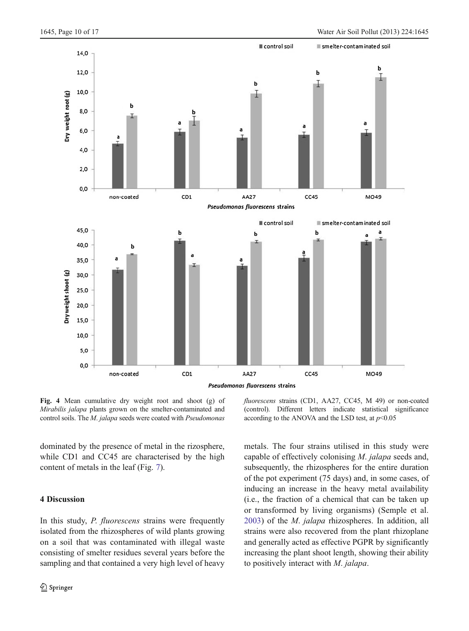<span id="page-9-0"></span>

Fig. 4 Mean cumulative dry weight root and shoot (g) of Mirabilis jalapa plants grown on the smelter-contaminated and control soils. The M. jalapa seeds were coated with Pseudomonas

dominated by the presence of metal in the rizosphere, while CD1 and CC45 are characterised by the high content of metals in the leaf (Fig. [7\)](#page-13-0).

## 4 Discussion

In this study, *P. fluorescens* strains were frequently isolated from the rhizospheres of wild plants growing on a soil that was contaminated with illegal waste consisting of smelter residues several years before the sampling and that contained a very high level of heavy

fluorescens strains (CD1, AA27, CC45, M 49) or non-coated (control). Different letters indicate statistical significance according to the ANOVA and the LSD test, at  $p<0.05$ 

metals. The four strains utilised in this study were capable of effectively colonising M. jalapa seeds and, subsequently, the rhizospheres for the entire duration of the pot experiment (75 days) and, in some cases, of inducing an increase in the heavy metal availability (i.e., the fraction of a chemical that can be taken up or transformed by living organisms) (Semple et al. [2003\)](#page-15-0) of the M. jalapa rhizospheres. In addition, all strains were also recovered from the plant rhizoplane and generally acted as effective PGPR by significantly increasing the plant shoot length, showing their ability to positively interact with M. jalapa.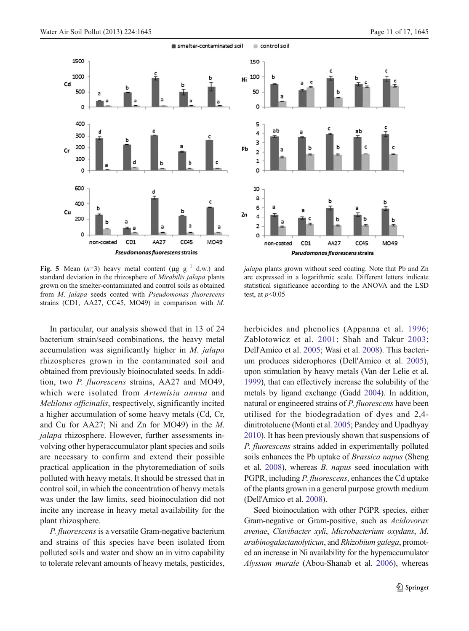<span id="page-10-0"></span>



Fig. 5 Mean  $(n=3)$  heavy metal content (μg  $g^{-1}$  d.w.) and standard deviation in the rhizosphere of Mirabilis jalapa plants grown on the smelter-contaminated and control soils as obtained from M. jalapa seeds coated with Pseudomonas fluorescens strains (CD1, AA27, CC45, MO49) in comparison with M.

In particular, our analysis showed that in 13 of 24 bacterium strain/seed combinations, the heavy metal accumulation was significantly higher in M. jalapa rhizospheres grown in the contaminated soil and obtained from previously bioinoculated seeds. In addition, two P. fluorescens strains, AA27 and MO49, which were isolated from Artemisia annua and Melilotus officinalis, respectively, significantly incited a higher accumulation of some heavy metals (Cd, Cr, and Cu for AA27; Ni and Zn for MO49) in the M. jalapa rhizosphere. However, further assessments involving other hyperaccumulator plant species and soils are necessary to confirm and extend their possible practical application in the phytoremediation of soils polluted with heavy metals. It should be stressed that in control soil, in which the concentration of heavy metals was under the law limits, seed bioinoculation did not incite any increase in heavy metal availability for the plant rhizosphere.

P. fluorescens is a versatile Gram-negative bacterium and strains of this species have been isolated from polluted soils and water and show an in vitro capability to tolerate relevant amounts of heavy metals, pesticides,

jalapa plants grown without seed coating. Note that Pb and Zn are expressed in a logarithmic scale. Different letters indicate statistical significance according to the ANOVA and the LSD test, at  $p<0.05$ 

AA27

Pseudomonas fluorescens strains

CC45

MO49

 $\circ$ 

non -coated CD<sub>1</sub>

herbicides and phenolics (Appanna et al. [1996;](#page-14-0) Zablotowicz et al. [2001;](#page-16-0) Shah and Takur [2003;](#page-15-0) Dell'Amico et al. [2005;](#page-14-0) Wasi et al. [2008\)](#page-16-0). This bacterium produces siderophores (Dell'Amico et al. [2005\)](#page-14-0), upon stimulation by heavy metals (Van der Lelie et al. [1999](#page-16-0)), that can effectively increase the solubility of the metals by ligand exchange (Gadd [2004\)](#page-15-0). In addition, natural or engineered strains of P. fluorescens have been utilised for the biodegradation of dyes and 2,4 dinitrotoluene (Monti et al. [2005](#page-15-0); Pandey and Upadhyay [2010](#page-15-0)). It has been previously shown that suspensions of P. fluorescens strains added in experimentally polluted soils enhances the Pb uptake of *Brassica napus* (Sheng et al. [2008\)](#page-15-0), whereas B. napus seed inoculation with PGPR, including P. fluorescens, enhances the Cd uptake of the plants grown in a general purpose growth medium (Dell'Amico et al. [2008](#page-14-0)).

Seed bioinoculation with other PGPR species, either Gram-negative or Gram-positive, such as Acidovorax avenae, Clavibacter xyli, Microbacterium oxydans, M. arabinogalactanolyticun, and Rhizobium galega, promoted an increase in Ni availability for the hyperaccumulator Alyssum murale (Abou-Shanab et al. [2006\)](#page-14-0), whereas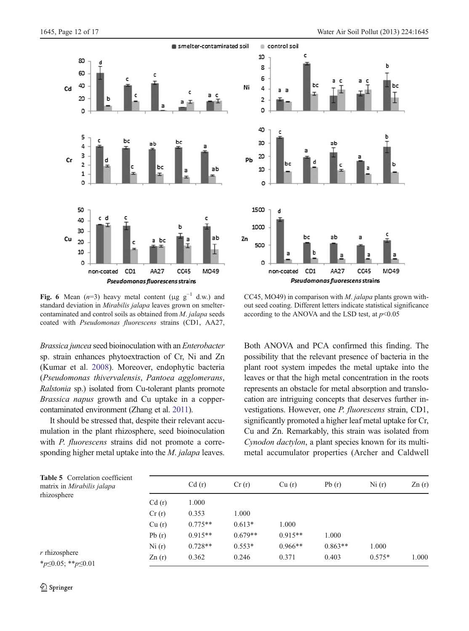<span id="page-11-0"></span>



Fig. 6 Mean  $(n=3)$  heavy metal content (μg g<sup>-1</sup> d.w.) and standard deviation in Mirabilis jalapa leaves grown on smeltercontaminated and control soils as obtained from M. jalapa seeds coated with Pseudomonas fluorescens strains (CD1, AA27,

Brassica juncea seed bioinoculation with an Enterobacter sp. strain enhances phytoextraction of Cr, Ni and Zn (Kumar et al. [2008](#page-15-0)). Moreover, endophytic bacteria (Pseudomonas thivervalensis, Pantoea agglomerans, Ralstonia sp.) isolated from Cu-tolerant plants promote Brassica napus growth and Cu uptake in a coppercontaminated environment (Zhang et al. [2011](#page-16-0)).

It should be stressed that, despite their relevant accumulation in the plant rhizosphere, seed bioinoculation with *P. fluorescens* strains did not promote a corresponding higher metal uptake into the *M. jalapa* leaves.

CC45, MO49) in comparison with M. jalapa plants grown without seed coating. Different letters indicate statistical significance according to the ANOVA and the LSD test, at  $p<0.05$ 

Both ANOVA and PCA confirmed this finding. The possibility that the relevant presence of bacteria in the plant root system impedes the metal uptake into the leaves or that the high metal concentration in the roots represents an obstacle for metal absorption and translocation are intriguing concepts that deserves further investigations. However, one P. fluorescens strain, CD1, significantly promoted a higher leaf metal uptake for Cr, Cu and Zn. Remarkably, this strain was isolated from Cynodon dactylon, a plant species known for its multimetal accumulator properties (Archer and Caldwell

| <b>Table 5</b> Correlation coefficient<br>matrix in Mirabilis jalapa<br>rhizosphere |       | Cd(r)     | Cr(r)     | Cu(r)     | Pb(r)     | Ni(r)    | Zn(r) |
|-------------------------------------------------------------------------------------|-------|-----------|-----------|-----------|-----------|----------|-------|
|                                                                                     | Cd(r) | 1.000     |           |           |           |          |       |
|                                                                                     | Cr(r) | 0.353     | 1.000     |           |           |          |       |
|                                                                                     | Cu(r) | $0.775**$ | $0.613*$  | 1.000     |           |          |       |
|                                                                                     | Pb(r) | $0.915**$ | $0.679**$ | $0.915**$ | 1.000     |          |       |
|                                                                                     | Ni(r) | $0.728**$ | $0.553*$  | $0.966**$ | $0.863**$ | 1.000    |       |
| $r$ rhizosphere<br>* $p \leq 0.05$ ; ** $p \leq 0.01$                               | Zn(r) | 0.362     | 0.246     | 0.371     | 0.403     | $0.575*$ | 1.000 |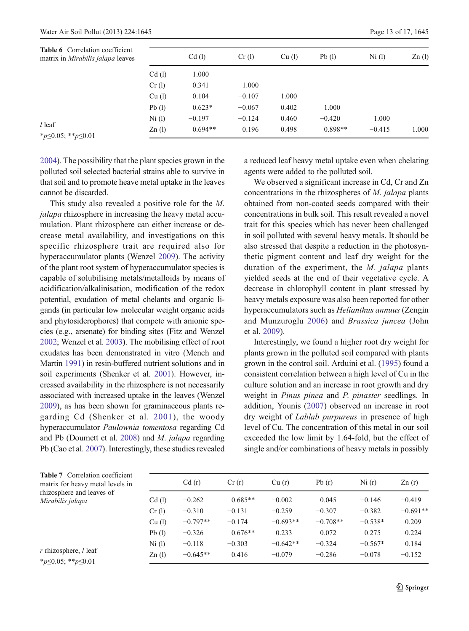<span id="page-12-0"></span>

| <b>Table 6</b> Correlation coefficient<br>matrix in <i>Mirabilis jalapa</i> leaves |                 | Cd(1)     | Cr(1)    | $Cu$ (1) | Pb(1)     | $Ni$ (l) | Zn(1) |
|------------------------------------------------------------------------------------|-----------------|-----------|----------|----------|-----------|----------|-------|
|                                                                                    | Cd(1)           | 1.000     |          |          |           |          |       |
|                                                                                    | Cr(1)           | 0.341     | 1.000    |          |           |          |       |
|                                                                                    | $Cu$ (1)        | 0.104     | $-0.107$ | 1.000    |           |          |       |
|                                                                                    | Pb(1)           | $0.623*$  | $-0.067$ | 0.402    | 1.000     |          |       |
|                                                                                    | $Ni$ (1)        | $-0.197$  | $-0.124$ | 0.460    | $-0.420$  | 1.000    |       |
| $l$ leaf<br>* $p \le 0.05$ ; ** $p \le 0.01$                                       | $\text{Zn}$ (l) | $0.694**$ | 0.196    | 0.498    | $0.898**$ | $-0.415$ | 1.000 |

[2004](#page-14-0)). The possibility that the plant species grown in the polluted soil selected bacterial strains able to survive in that soil and to promote heave metal uptake in the leaves cannot be discarded.

This study also revealed a positive role for the M. jalapa rhizosphere in increasing the heavy metal accumulation. Plant rhizosphere can either increase or decrease metal availability, and investigations on this specific rhizosphere trait are required also for hyperaccumulator plants (Wenzel [2009\)](#page-16-0). The activity of the plant root system of hyperaccumulator species is capable of solubilising metals/metalloids by means of acidification/alkalinisation, modification of the redox potential, exudation of metal chelants and organic ligands (in particular low molecular weight organic acids and phytosiderophores) that compete with anionic species (e.g., arsenate) for binding sites (Fitz and Wenzel [2002](#page-15-0); Wenzel et al. [2003](#page-16-0)). The mobilising effect of root exudates has been demonstrated in vitro (Mench and Martin [1991](#page-15-0)) in resin-buffered nutrient solutions and in soil experiments (Shenker et al. [2001\)](#page-15-0). However, increased availability in the rhizosphere is not necessarily associated with increased uptake in the leaves (Wenzel [2009](#page-16-0)), as has been shown for graminaceous plants regarding Cd (Shenker et al. [2001\)](#page-15-0), the woody hyperaccumulator Paulownia tomentosa regarding Cd and Pb (Doumett et al. [2008\)](#page-15-0) and M. jalapa regarding Pb (Cao et al. [2007](#page-14-0)). Interestingly, these studies revealed

a reduced leaf heavy metal uptake even when chelating agents were added to the polluted soil.

We observed a significant increase in Cd, Cr and Zn concentrations in the rhizospheres of M. jalapa plants obtained from non-coated seeds compared with their concentrations in bulk soil. This result revealed a novel trait for this species which has never been challenged in soil polluted with several heavy metals. It should be also stressed that despite a reduction in the photosynthetic pigment content and leaf dry weight for the duration of the experiment, the M. jalapa plants yielded seeds at the end of their vegetative cycle. A decrease in chlorophyll content in plant stressed by heavy metals exposure was also been reported for other hyperaccumulators such as Helianthus annuus (Zengin and Munzuroglu [2006](#page-16-0)) and Brassica juncea (John et al. [2009\)](#page-15-0).

Interestingly, we found a higher root dry weight for plants grown in the polluted soil compared with plants grown in the control soil. Arduini et al. ([1995\)](#page-14-0) found a consistent correlation between a high level of Cu in the culture solution and an increase in root growth and dry weight in *Pinus pinea* and *P. pinaster* seedlings. In addition, Younis [\(2007](#page-16-0)) observed an increase in root dry weight of Lablab purpureus in presence of high level of Cu. The concentration of this metal in our soil exceeded the low limit by 1.64-fold, but the effect of single and/or combinations of heavy metals in possibly

| <b>Table 7</b> Correlation coefficient<br>matrix for heavy metal levels in |          | Cd(r)      | Cr(r)     | Cu(r)      | Pb(r)      | Ni(r)     | Zn(r)      |
|----------------------------------------------------------------------------|----------|------------|-----------|------------|------------|-----------|------------|
| rhizosphere and leaves of<br>Mirabilis jalapa                              | Cd(1)    | $-0.262$   | $0.685**$ | $-0.002$   | 0.045      | $-0.146$  | $-0.419$   |
|                                                                            | Cr(1)    | $-0.310$   | $-0.131$  | $-0.259$   | $-0.307$   | $-0.382$  | $-0.691**$ |
|                                                                            | $Cu$ (1) | $-0.797**$ | $-0.174$  | $-0.693**$ | $-0.708**$ | $-0.538*$ | 0.209      |
|                                                                            | Pb(1)    | $-0.326$   | $0.676**$ | 0.233      | 0.072      | 0.275     | 0.224      |
|                                                                            | $Ni$ (1) | $-0.118$   | $-0.303$  | $-0.642**$ | $-0.324$   | $-0.567*$ | 0.184      |
| $r$ rhizosphere, $l$ leaf<br>* $p \leq 0.05$ ; ** $p \leq 0.01$            | Zn(l)    | $-0.645**$ | 0.416     | $-0.079$   | $-0.286$   | $-0.078$  | $-0.152$   |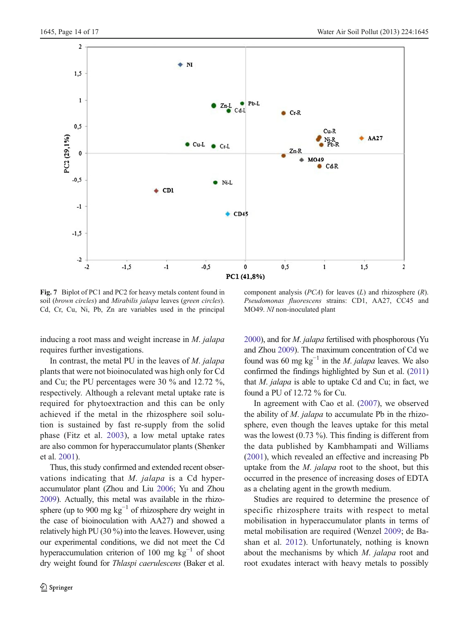<span id="page-13-0"></span>

Fig. 7 Biplot of PC1 and PC2 for heavy metals content found in soil (brown circles) and Mirabilis jalapa leaves (green circles). Cd, Cr, Cu, Ni, Pb, Zn are variables used in the principal

inducing a root mass and weight increase in M. jalapa requires further investigations.

In contrast, the metal PU in the leaves of M. jalapa plants that were not bioinoculated was high only for Cd and Cu; the PU percentages were 30 % and 12.72 %, respectively. Although a relevant metal uptake rate is required for phytoextraction and this can be only achieved if the metal in the rhizosphere soil solution is sustained by fast re-supply from the solid phase (Fitz et al. [2003](#page-15-0)), a low metal uptake rates are also common for hyperaccumulator plants (Shenker et al. [2001\)](#page-15-0).

Thus, this study confirmed and extended recent observations indicating that M. jalapa is a Cd hyperaccumulator plant (Zhou and Liu [2006](#page-16-0); Yu and Zhou [2009\)](#page-16-0). Actually, this metal was available in the rhizosphere (up to 900 mg  $kg^{-1}$  of rhizosphere dry weight in the case of bioinoculation with AA27) and showed a relatively high PU (30 %) into the leaves. However, using our experimental conditions, we did not meet the Cd hyperaccumulation criterion of 100 mg  $kg^{-1}$  of shoot dry weight found for Thlaspi caerulescens (Baker et al.

component analysis ( $PCA$ ) for leaves (L) and rhizosphere (R). Pseudomonas fluorescens strains: CD1, AA27, CC45 and MO49. NI non-inoculated plant

[2000](#page-14-0)), and for M. jalapa fertilised with phosphorous (Yu and Zhou [2009\)](#page-16-0). The maximum concentration of Cd we found was 60 mg kg<sup>-1</sup> in the *M. jalapa* leaves. We also confirmed the findings highlighted by Sun et al. [\(2011](#page-16-0)) that  $M$ . *jalapa* is able to uptake Cd and Cu; in fact, we found a PU of 12.72 % for Cu.

In agreement with Cao et al. [\(2007](#page-14-0)), we observed the ability of  $M$ . jalapa to accumulate Pb in the rhizosphere, even though the leaves uptake for this metal was the lowest (0.73 %). This finding is different from the data published by Kambhampati and Williams [\(2001](#page-15-0)), which revealed an effective and increasing Pb uptake from the  $M$ . jalapa root to the shoot, but this occurred in the presence of increasing doses of EDTA as a chelating agent in the growth medium.

Studies are required to determine the presence of specific rhizosphere traits with respect to metal mobilisation in hyperaccumulator plants in terms of metal mobilisation are required (Wenzel [2009](#page-16-0); de Bashan et al. [2012\)](#page-14-0). Unfortunately, nothing is known about the mechanisms by which M. jalapa root and root exudates interact with heavy metals to possibly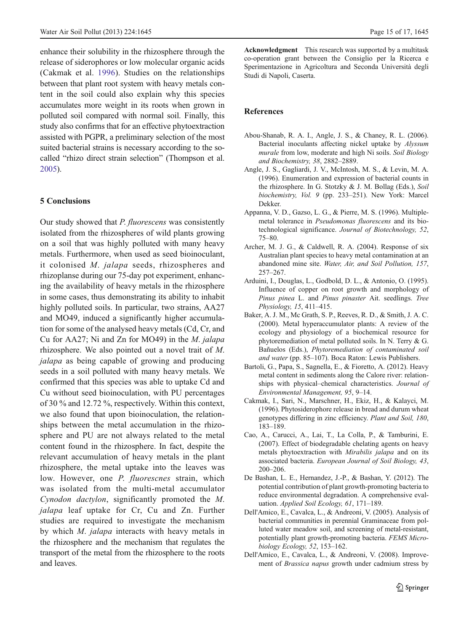<span id="page-14-0"></span>enhance their solubility in the rhizosphere through the release of siderophores or low molecular organic acids (Cakmak et al. 1996). Studies on the relationships between that plant root system with heavy metals content in the soil could also explain why this species accumulates more weight in its roots when grown in polluted soil compared with normal soil. Finally, this study also confirms that for an effective phytoextraction assisted with PGPR, a preliminary selection of the most suited bacterial strains is necessary according to the socalled "rhizo direct strain selection" (Thompson et al. [2005](#page-16-0)).

## 5 Conclusions

Our study showed that P. fluorescens was consistently isolated from the rhizospheres of wild plants growing on a soil that was highly polluted with many heavy metals. Furthermore, when used as seed bioinoculant, it colonised M. jalapa seeds, rhizospheres and rhizoplanse during our 75-day pot experiment, enhancing the availability of heavy metals in the rhizosphere in some cases, thus demonstrating its ability to inhabit highly polluted soils. In particular, two strains, AA27 and MO49, induced a significantly higher accumulation for some of the analysed heavy metals (Cd, Cr, and Cu for AA27; Ni and Zn for MO49) in the M. jalapa rhizosphere. We also pointed out a novel trait of M. jalapa as being capable of growing and producing seeds in a soil polluted with many heavy metals. We confirmed that this species was able to uptake Cd and Cu without seed bioinoculation, with PU percentages of 30 % and 12.72 %, respectively. Within this context, we also found that upon bioinoculation, the relationships between the metal accumulation in the rhizosphere and PU are not always related to the metal content found in the rhizosphere. In fact, despite the relevant accumulation of heavy metals in the plant rhizosphere, the metal uptake into the leaves was low. However, one P. fluorescnes strain, which was isolated from the multi-metal accumulator Cynodon dactylon, significantly promoted the M. jalapa leaf uptake for Cr, Cu and Zn. Further studies are required to investigate the mechanism by which M. jalapa interacts with heavy metals in the rhizosphere and the mechanism that regulates the transport of the metal from the rhizosphere to the roots and leaves.

Acknowledgment This research was supported by a multitask co-operation grant between the Consiglio per la Ricerca e Sperimentazione in Agricoltura and Seconda Università degli Studi di Napoli, Caserta.

## References

- Abou-Shanab, R. A. I., Angle, J. S., & Chaney, R. L. (2006). Bacterial inoculants affecting nickel uptake by Alyssum murale from low, moderate and high Ni soils. Soil Biology and Biochemistry, 38, 2882–2889.
- Angle, J. S., Gagliardi, J. V., McIntosh, M. S., & Levin, M. A. (1996). Enumeration and expression of bacterial counts in the rhizosphere. In G. Stotzky & J. M. Bollag (Eds.), Soil biochemistry, Vol. 9 (pp. 233–251). New York: Marcel Dekker.
- Appanna, V. D., Gazso, L. G., & Pierre, M. S. (1996). Multiplemetal tolerance in Pseudomonas fluorescens and its biotechnological significance. Journal of Biotechnology, 52, 75–80.
- Archer, M. J. G., & Caldwell, R. A. (2004). Response of six Australian plant species to heavy metal contamination at an abandoned mine site. Water, Air, and Soil Pollution, 157, 257–267.
- Arduini, I., Douglas, L., Godbold, D. L., & Antonio, O. (1995). Influence of copper on root growth and morphology of Pinus pinea L. and Pinus pinaster Ait. seedlings. Tree Physiology, 15, 411–415.
- Baker, A. J. M., Mc Grath, S. P., Reeves, R. D., & Smith, J. A. C. (2000). Metal hyperaccumulator plants: A review of the ecology and physiology of a biochemical resource for phytoremediation of metal polluted soils. In N. Terry & G. Bañuelos (Eds.), Phytoremediation of contaminated soil and water (pp. 85–107). Boca Raton: Lewis Publishers.
- Bartoli, G., Papa, S., Sagnella, E., & Fioretto, A. (2012). Heavy metal content in sediments along the Calore river: relationships with physical–chemical characteristics. Journal of Environmental Management, 95, 9–14.
- Cakmak, I., Sari, N., Marschner, H., Ekiz, H., & Kalayci, M. (1996). Phytosiderophore release in bread and durum wheat genotypes differing in zinc efficiency. Plant and Soil, 180, 183–189.
- Cao, A., Carucci, A., Lai, T., La Colla, P., & Tamburini, E. (2007). Effect of biodegradable chelating agents on heavy metals phytoextraction with Mirabilis jalapa and on its associated bacteria. European Journal of Soil Biology, 43, 200–206.
- De Bashan, L. E., Hernandez, J.-P., & Bashan, Y. (2012). The potential contribution of plant growth-promoting bacteria to reduce environmental degradation. A comprehensive evaluation. Applied Soil Ecology, 61, 171–189.
- Dell'Amico, E., Cavalca, L., & Andreoni, V. (2005). Analysis of bacterial communities in perennial Graminaceae from polluted water meadow soil, and screening of metal-resistant, potentially plant growth-promoting bacteria. FEMS Microbiology Ecology, 52, 153–162.
- Dell'Amico, E., Cavalca, L., & Andreoni, V. (2008). Improvement of Brassica napus growth under cadmium stress by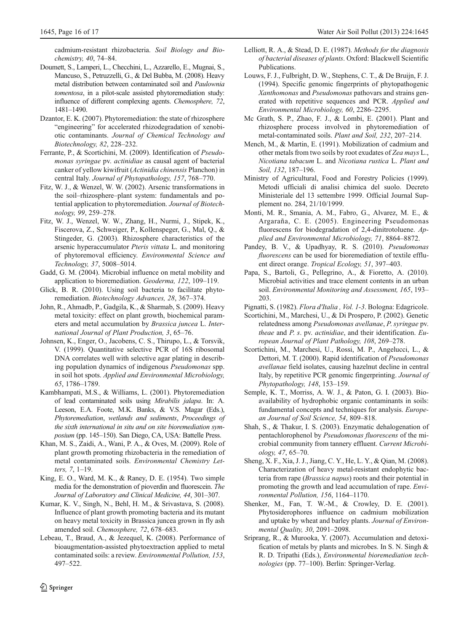<span id="page-15-0"></span>cadmium-resistant rhizobacteria. Soil Biology and Biochemistry, 40, 74–84.

- Doumett, S., Lamperi, L., Checchini, L., Azzarello, E., Mugnai, S., Mancuso, S., Petruzzelli, G., & Del Bubba, M. (2008). Heavy metal distribution between contaminated soil and Paulownia tomentosa, in a pilot-scale assisted phytoremediation study: influence of different complexing agents. Chemosphere, 72, 1481–1490.
- Dzantor, E. K. (2007). Phytoremediation: the state of rhizosphere "engineering" for accelerated rhizodegradation of xenobiotic contaminants. Journal of Chemical Technology and Biotechnology, 82, 228–232.
- Ferrante, P., & Scortichini, M. (2009). Identification of Pseudomonas syringae pv. actinidiae as causal agent of bacterial canker of yellow kiwifruit (Actinidia chinensis Planchon) in central Italy. Journal of Phytopathology, 157, 768–770.
- Fitz, W. J., & Wenzel, W. W. (2002). Arsenic transformations in the soil–rhizosphere–plant system: fundamentals and potential application to phytoremediation. Journal of Biotechnology, 99, 259–278.
- Fitz, W. J., Wenzel, W. W., Zhang, H., Nurmi, J., Stipek, K., Fiscerova, Z., Schweiger, P., Kollenspeger, G., Mal, Q., & Stingeder, G. (2003). Rhizosphere characteristics of the arsenic hyperaccumulator Pteris vittata L. and monitoring of phytoremoval efficiency. Environmental Science and Technology, 37, 5008–5014.
- Gadd, G. M. (2004). Microbial influence on metal mobility and application to bioremediation. Geoderma, 122, 109–119.
- Glick, B. R. (2010). Using soil bacteria to facilitate phytoremediation. Biotechnology Advances, 28, 367–374.
- John, R., Ahmadb, P., Gadgila, K., & Sharmab, S. (2009). Heavy metal toxicity: effect on plant growth, biochemical parameters and metal accumulation by Brassica juncea L. International Journal of Plant Production, 3, 65–76.
- Johnsen, K., Enger, O., Jacobens, C. S., Thirupo, L., & Torsvik, V. (1999). Quantitative selective PCR of 16S ribosomal DNA correlates well with selective agar plating in describing population dynamics of indigenous Pseudomonas spp. in soil hot spots. Applied and Environmental Microbiology, 65, 1786–1789.
- Kambhampati, M.S., & Williams, L. (2001). Phytoremediation of lead contaminated soils using Mirabilis jalapa. In: A. Leeson, E.A. Foote, M.K. Banks, & V.S. Magar (Eds.), Phytoremediation, wetlands and sediments, Proceedings of the sixth international in situ and on site bioremediation symposium (pp. 145–150). San Diego, CA, USA: Battelle Press.
- Khan, M. S., Zaidi, A., Wani, P. A., & Oves, M. (2009). Role of plant growth promoting rhizobacteria in the remediation of metal contaminated soils. Environmental Chemistry Letters, 7, 1–19.
- King, E. O., Ward, M. K., & Raney, D. E. (1954). Two simple media for the demonstration of pioverdin and fluorescein. The Journal of Laboratory and Clinical Medicine, 44, 301–307.
- Kumar, K. V., Singh, N., Behl, H. M., & Srivastava, S. (2008). Influence of plant growth promoting bacteria and its mutant on heavy metal toxicity in Brassica juncea grown in fly ash amended soil. Chemosphere, 72, 678–683.
- Lebeau, T., Braud, A., & Jezequel, K. (2008). Performance of bioaugmentation-assisted phytoextraction applied to metal contaminated soils: a review. Environmental Pollution, 153, 497–522.
- Lelliott, R. A., & Stead, D. E. (1987). Methods for the diagnosis of bacterial diseases of plants. Oxford: Blackwell Scientific Publications.
- Louws, F. J., Fulbright, D. W., Stephens, C. T., & De Bruijn, F. J. (1994). Specific genomic fingerprints of phytopathogenic Xanthomonas and Pseudomonas pathovars and strains generated with repetitive sequences and PCR. Applied and Environmental Microbiology, 60, 2286–2295.
- Mc Grath, S. P., Zhao, F. J., & Lombi, E. (2001). Plant and rhizosphere process involved in phytoremediation of metal-contaminated soils. Plant and Soil, 232, 207–214.
- Mench, M., & Martin, E. (1991). Mobilization of cadmium and other metals from two soils by root exudates of Zea mays L., Nicotiana tabacum L. and Nicotiana rustica L. Plant and Soil, 132, 187–196.
- Ministry of Agricultural, Food and Forestry Policies (1999). Metodi ufficiali di analisi chimica del suolo. Decreto Ministeriale del 13 settembre 1999. Official Journal Supplement no. 284, 21/10/1999.
- Monti, M. R., Smania, A. M., Fabro, G., Alvarez, M. E., & Argaraña, C. E. (2005). Engineering Pseudomonas fluorescens for biodegradation of 2,4-dinitrotoluene. Applied and Environmental Microbiology, 71, 8864–8872.
- Pandey, B. V., & Upadhyay, R. S. (2010). Pseudomonas fluorescens can be used for bioremediation of textile effluent direct orange. Tropical Ecology, 51, 397–403.
- Papa, S., Bartoli, G., Pellegrino, A., & Fioretto, A. (2010). Microbial activities and trace element contents in an urban soil. Environmental Monitoring and Assessment, 165, 193– 203.
- Pignatti, S. (1982). Flora d'Italia , Vol. 1-3. Bologna: Edagricole.
- Scortichini, M., Marchesi, U., & Di Prospero, P. (2002). Genetic relatedness among Pseudomonas avellanae, P. syringae pv. theae and P. s. pv. actinidiae, and their identification. European Journal of Plant Pathology, 108, 269–278.
- Scortichini, M., Marchesi, U., Rossi, M. P., Angelucci, L., & Dettori, M. T. (2000). Rapid identification of Pseudomonas avellanae field isolates, causing hazelnut decline in central Italy, by repetitive PCR genomic fingerprinting. Journal of Phytopathology, 148, 153–159.
- Semple, K. T., Morriss, A. W. J., & Paton, G. I. (2003). Bioavailability of hydrophobic organic contaminants in soils: fundamental concepts and techniques for analysis. European Journal of Soil Science, 54, 809–818.
- Shah, S., & Thakur, I. S. (2003). Enzymatic dehalogenation of pentachlorophenol by Pseudomonas fluorescens of the microbial community from tannery effluent. Current Microbiology, 47, 65–70.
- Sheng, X. F., Xia, J. J., Jiang, C. Y., He, L. Y., & Qian, M. (2008). Characterization of heavy metal-resistant endophytic bacteria from rape (Brassica napus) roots and their potential in promoting the growth and lead accumulation of rape. Environmental Pollution, 156, 1164–1170.
- Shenker, M., Fan, T. W.-M., & Crowley, D. E. (2001). Phytosiderophores influence on cadmium mobilization and uptake by wheat and barley plants. Journal of Environmental Quality, 30, 2091–2098.
- Sriprang, R., & Murooka, Y. (2007). Accumulation and detoxification of metals by plants and microbes. In S. N. Singh & R. D. Tripathi (Eds.), Environmental bioremediation technologies (pp. 77–100). Berlin: Springer-Verlag.